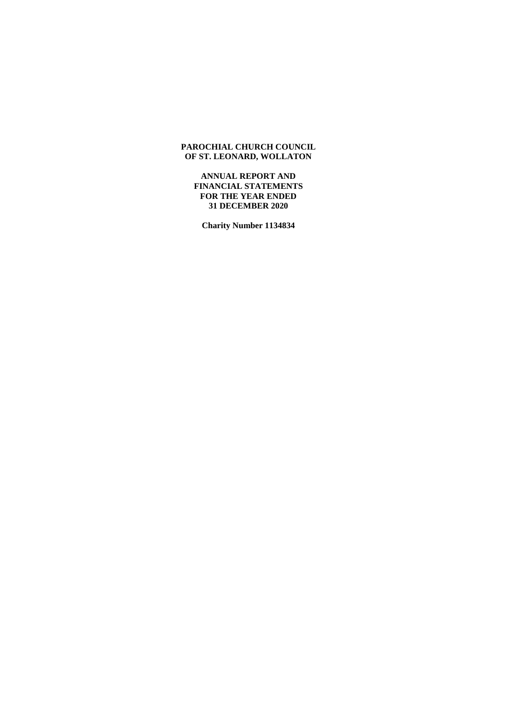**ANNUAL REPORT AND FINANCIAL STATEMENTS FOR THE YEAR ENDED 31 DECEMBER 2020**

**Charity Number 1134834**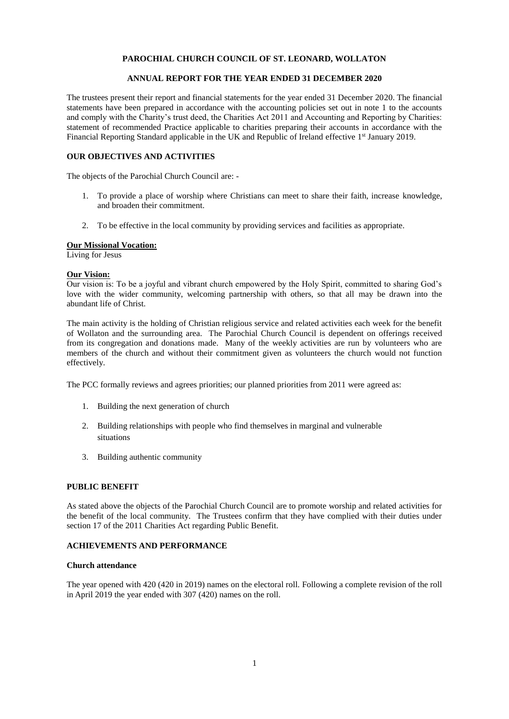## **ANNUAL REPORT FOR THE YEAR ENDED 31 DECEMBER 2020**

The trustees present their report and financial statements for the year ended 31 December 2020. The financial statements have been prepared in accordance with the accounting policies set out in note 1 to the accounts and comply with the Charity's trust deed, the Charities Act 2011 and Accounting and Reporting by Charities: statement of recommended Practice applicable to charities preparing their accounts in accordance with the Financial Reporting Standard applicable in the UK and Republic of Ireland effective 1<sup>st</sup> January 2019.

### **OUR OBJECTIVES AND ACTIVITIES**

The objects of the Parochial Church Council are: -

- 1. To provide a place of worship where Christians can meet to share their faith, increase knowledge, and broaden their commitment.
- 2. To be effective in the local community by providing services and facilities as appropriate.

## **Our Missional Vocation:**

Living for Jesus

### **Our Vision:**

Our vision is: To be a joyful and vibrant church empowered by the Holy Spirit, committed to sharing God's love with the wider community, welcoming partnership with others, so that all may be drawn into the abundant life of Christ.

The main activity is the holding of Christian religious service and related activities each week for the benefit of Wollaton and the surrounding area. The Parochial Church Council is dependent on offerings received from its congregation and donations made. Many of the weekly activities are run by volunteers who are members of the church and without their commitment given as volunteers the church would not function effectively.

The PCC formally reviews and agrees priorities; our planned priorities from 2011 were agreed as:

- 1. Building the next generation of church
- 2. Building relationships with people who find themselves in marginal and vulnerable situations
- 3. Building authentic community

### **PUBLIC BENEFIT**

As stated above the objects of the Parochial Church Council are to promote worship and related activities for the benefit of the local community. The Trustees confirm that they have complied with their duties under section 17 of the 2011 Charities Act regarding Public Benefit.

### **ACHIEVEMENTS AND PERFORMANCE**

### **Church attendance**

The year opened with 420 (420 in 2019) names on the electoral roll. Following a complete revision of the roll in April 2019 the year ended with 307 (420) names on the roll.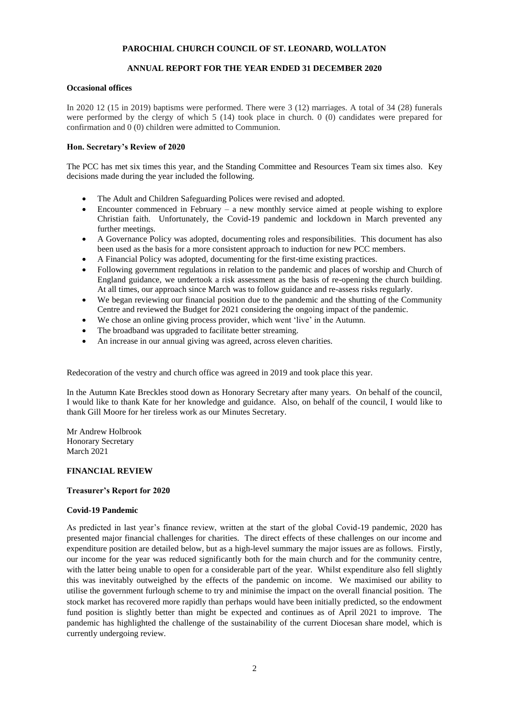# **ANNUAL REPORT FOR THE YEAR ENDED 31 DECEMBER 2020**

## **Occasional offices**

In 2020 12 (15 in 2019) baptisms were performed. There were 3 (12) marriages. A total of 34 (28) funerals were performed by the clergy of which 5 (14) took place in church. 0 (0) candidates were prepared for confirmation and 0 (0) children were admitted to Communion.

## **Hon. Secretary's Review of 2020**

The PCC has met six times this year, and the Standing Committee and Resources Team six times also. Key decisions made during the year included the following.

- The Adult and Children Safeguarding Polices were revised and adopted.
- Encounter commenced in February a new monthly service aimed at people wishing to explore Christian faith. Unfortunately, the Covid-19 pandemic and lockdown in March prevented any further meetings.
- A Governance Policy was adopted, documenting roles and responsibilities. This document has also been used as the basis for a more consistent approach to induction for new PCC members.
- A Financial Policy was adopted, documenting for the first-time existing practices.
- Following government regulations in relation to the pandemic and places of worship and Church of England guidance, we undertook a risk assessment as the basis of re-opening the church building. At all times, our approach since March was to follow guidance and re-assess risks regularly.
- We began reviewing our financial position due to the pandemic and the shutting of the Community Centre and reviewed the Budget for 2021 considering the ongoing impact of the pandemic.
- We chose an online giving process provider, which went 'live' in the Autumn.
- The broadband was upgraded to facilitate better streaming.
- An increase in our annual giving was agreed, across eleven charities.

Redecoration of the vestry and church office was agreed in 2019 and took place this year.

In the Autumn Kate Breckles stood down as Honorary Secretary after many years. On behalf of the council, I would like to thank Kate for her knowledge and guidance. Also, on behalf of the council, I would like to thank Gill Moore for her tireless work as our Minutes Secretary.

Mr Andrew Holbrook Honorary Secretary March 2021

# **FINANCIAL REVIEW**

# **Treasurer's Report for 2020**

# **Covid-19 Pandemic**

As predicted in last year's finance review, written at the start of the global Covid-19 pandemic, 2020 has presented major financial challenges for charities. The direct effects of these challenges on our income and expenditure position are detailed below, but as a high-level summary the major issues are as follows. Firstly, our income for the year was reduced significantly both for the main church and for the community centre, with the latter being unable to open for a considerable part of the year. Whilst expenditure also fell slightly this was inevitably outweighed by the effects of the pandemic on income. We maximised our ability to utilise the government furlough scheme to try and minimise the impact on the overall financial position. The stock market has recovered more rapidly than perhaps would have been initially predicted, so the endowment fund position is slightly better than might be expected and continues as of April 2021 to improve. The pandemic has highlighted the challenge of the sustainability of the current Diocesan share model, which is currently undergoing review.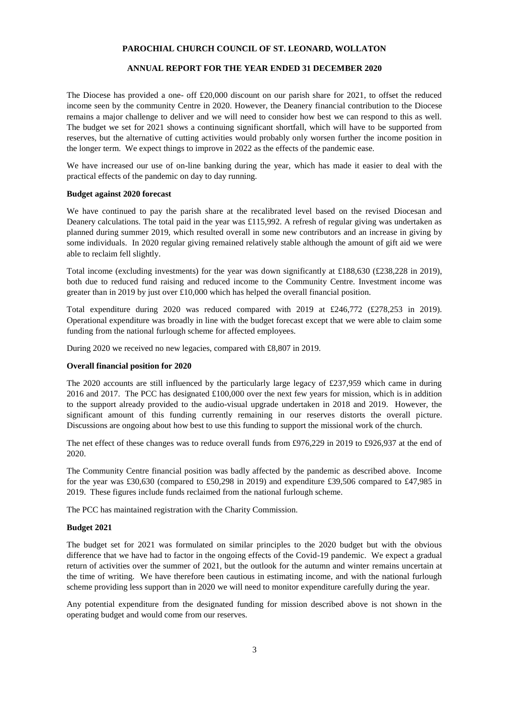## **ANNUAL REPORT FOR THE YEAR ENDED 31 DECEMBER 2020**

The Diocese has provided a one- off  $\text{\pounds}20,000$  discount on our parish share for 2021, to offset the reduced income seen by the community Centre in 2020. However, the Deanery financial contribution to the Diocese remains a major challenge to deliver and we will need to consider how best we can respond to this as well. The budget we set for 2021 shows a continuing significant shortfall, which will have to be supported from reserves, but the alternative of cutting activities would probably only worsen further the income position in the longer term. We expect things to improve in 2022 as the effects of the pandemic ease.

We have increased our use of on-line banking during the year, which has made it easier to deal with the practical effects of the pandemic on day to day running.

#### **Budget against 2020 forecast**

We have continued to pay the parish share at the recalibrated level based on the revised Diocesan and Deanery calculations. The total paid in the year was £115,992. A refresh of regular giving was undertaken as planned during summer 2019, which resulted overall in some new contributors and an increase in giving by some individuals. In 2020 regular giving remained relatively stable although the amount of gift aid we were able to reclaim fell slightly.

Total income (excluding investments) for the year was down significantly at £188,630 (£238,228 in 2019), both due to reduced fund raising and reduced income to the Community Centre. Investment income was greater than in 2019 by just over £10,000 which has helped the overall financial position.

Total expenditure during 2020 was reduced compared with 2019 at £246,772 (£278,253 in 2019). Operational expenditure was broadly in line with the budget forecast except that we were able to claim some funding from the national furlough scheme for affected employees.

During 2020 we received no new legacies, compared with £8,807 in 2019.

#### **Overall financial position for 2020**

The 2020 accounts are still influenced by the particularly large legacy of £237,959 which came in during 2016 and 2017. The PCC has designated £100,000 over the next few years for mission, which is in addition to the support already provided to the audio-visual upgrade undertaken in 2018 and 2019. However, the significant amount of this funding currently remaining in our reserves distorts the overall picture. Discussions are ongoing about how best to use this funding to support the missional work of the church.

The net effect of these changes was to reduce overall funds from £976,229 in 2019 to £926,937 at the end of 2020.

The Community Centre financial position was badly affected by the pandemic as described above. Income for the year was £30,630 (compared to £50,298 in 2019) and expenditure £39,506 compared to £47,985 in 2019. These figures include funds reclaimed from the national furlough scheme.

The PCC has maintained registration with the Charity Commission.

### **Budget 2021**

The budget set for 2021 was formulated on similar principles to the 2020 budget but with the obvious difference that we have had to factor in the ongoing effects of the Covid-19 pandemic. We expect a gradual return of activities over the summer of 2021, but the outlook for the autumn and winter remains uncertain at the time of writing. We have therefore been cautious in estimating income, and with the national furlough scheme providing less support than in 2020 we will need to monitor expenditure carefully during the year.

Any potential expenditure from the designated funding for mission described above is not shown in the operating budget and would come from our reserves.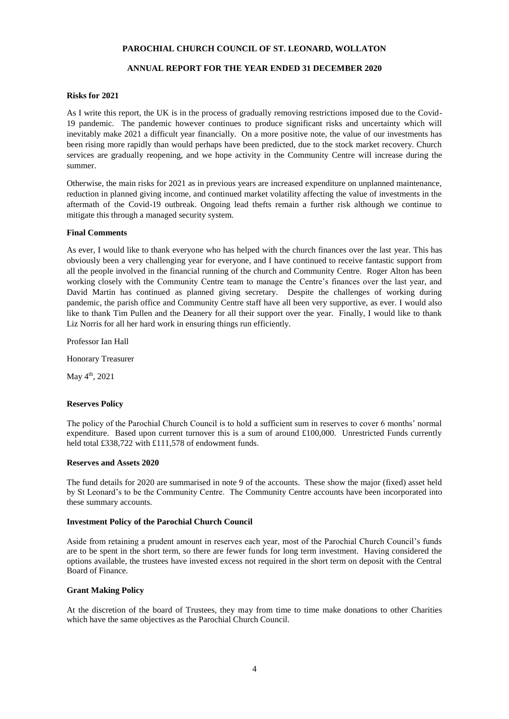## **ANNUAL REPORT FOR THE YEAR ENDED 31 DECEMBER 2020**

#### **Risks for 2021**

As I write this report, the UK is in the process of gradually removing restrictions imposed due to the Covid-19 pandemic. The pandemic however continues to produce significant risks and uncertainty which will inevitably make 2021 a difficult year financially. On a more positive note, the value of our investments has been rising more rapidly than would perhaps have been predicted, due to the stock market recovery. Church services are gradually reopening, and we hope activity in the Community Centre will increase during the summer.

Otherwise, the main risks for 2021 as in previous years are increased expenditure on unplanned maintenance, reduction in planned giving income, and continued market volatility affecting the value of investments in the aftermath of the Covid-19 outbreak. Ongoing lead thefts remain a further risk although we continue to mitigate this through a managed security system.

### **Final Comments**

As ever, I would like to thank everyone who has helped with the church finances over the last year. This has obviously been a very challenging year for everyone, and I have continued to receive fantastic support from all the people involved in the financial running of the church and Community Centre. Roger Alton has been working closely with the Community Centre team to manage the Centre's finances over the last year, and David Martin has continued as planned giving secretary. Despite the challenges of working during pandemic, the parish office and Community Centre staff have all been very supportive, as ever. I would also like to thank Tim Pullen and the Deanery for all their support over the year. Finally, I would like to thank Liz Norris for all her hard work in ensuring things run efficiently.

Professor Ian Hall

Honorary Treasurer

May 4<sup>th</sup>, 2021

#### **Reserves Policy**

The policy of the Parochial Church Council is to hold a sufficient sum in reserves to cover 6 months' normal expenditure. Based upon current turnover this is a sum of around £100,000. Unrestricted Funds currently held total £338,722 with £111,578 of endowment funds.

### **Reserves and Assets 2020**

The fund details for 2020 are summarised in note 9 of the accounts. These show the major (fixed) asset held by St Leonard's to be the Community Centre. The Community Centre accounts have been incorporated into these summary accounts.

#### **Investment Policy of the Parochial Church Council**

Aside from retaining a prudent amount in reserves each year, most of the Parochial Church Council's funds are to be spent in the short term, so there are fewer funds for long term investment. Having considered the options available, the trustees have invested excess not required in the short term on deposit with the Central Board of Finance.

### **Grant Making Policy**

At the discretion of the board of Trustees, they may from time to time make donations to other Charities which have the same objectives as the Parochial Church Council.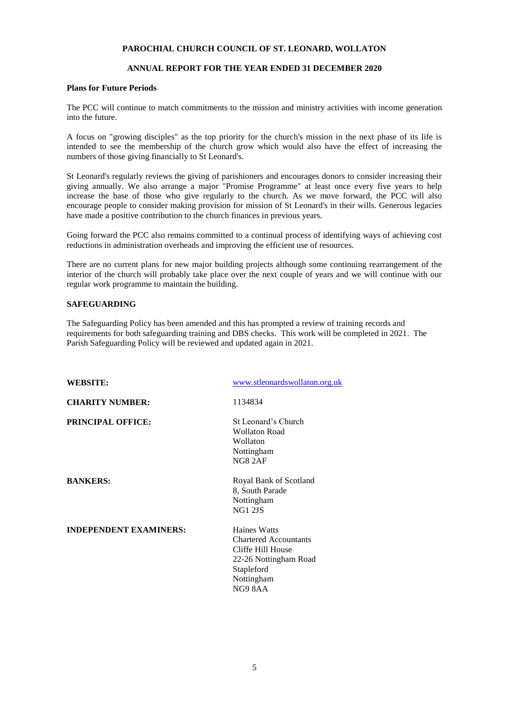# **ANNUAL REPORT FOR THE YEAR ENDED 31 DECEMBER 2020**

### **Plans for Future Periods**

The PCC will continue to match commitments to the mission and ministry activities with income generation into the future.

A focus on "growing disciples" as the top priority for the church's mission in the next phase of its life is intended to see the membership of the church grow which would also have the effect of increasing the numbers of those giving financially to St Leonard's.

St Leonard's regularly reviews the giving of parishioners and encourages donors to consider increasing their giving annually. We also arrange a major "Promise Programme" at least once every five years to help increase the base of those who give regularly to the church. As we move forward, the PCC will also encourage people to consider making provision for mission of St Leonard's in their wills. Generous legacies have made a positive contribution to the church finances in previous years.

Going forward the PCC also remains committed to a continual process of identifying ways of achieving cost reductions in administration overheads and improving the efficient use of resources.

There are no current plans for new major building projects although some continuing rearrangement of the interior of the church will probably take place over the next couple of years and we will continue with our regular work programme to maintain the building.

# **SAFEGUARDING**

The Safeguarding Policy has been amended and this has prompted a review of training records and requirements for both safeguarding training and DBS checks. This work will be completed in 2021. The Parish Safeguarding Policy will be reviewed and updated again in 2021.

| <b>WEBSITE:</b>               | www.stleonardswollaton.org.uk                                                                                                            |
|-------------------------------|------------------------------------------------------------------------------------------------------------------------------------------|
| <b>CHARITY NUMBER:</b>        | 1134834                                                                                                                                  |
| <b>PRINCIPAL OFFICE:</b>      | St Leonard's Church<br><b>Wollaton Road</b><br>Wollaton<br>Nottingham<br>NG82AF                                                          |
| <b>BANKERS:</b>               | Royal Bank of Scotland<br>8, South Parade<br>Nottingham<br><b>NG1 2JS</b>                                                                |
| <b>INDEPENDENT EXAMINERS:</b> | <b>Haines Watts</b><br><b>Chartered Accountants</b><br>Cliffe Hill House<br>22-26 Nottingham Road<br>Stapleford<br>Nottingham<br>NG9 8AA |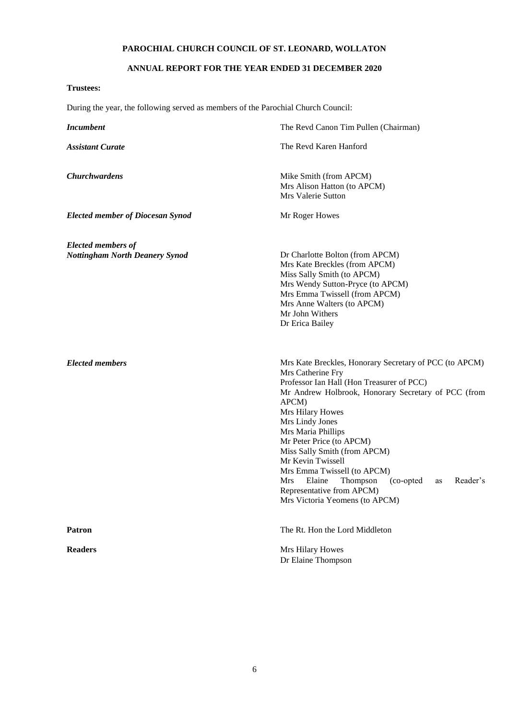# **ANNUAL REPORT FOR THE YEAR ENDED 31 DECEMBER 2020**

# **Trustees:**

During the year, the following served as members of the Parochial Church Council:

| <b>Incumbent</b>                                                   | The Revd Canon Tim Pullen (Chairman)                                                                                                                                                                                                                                                                                                                                                                                                                                                                     |  |  |  |  |
|--------------------------------------------------------------------|----------------------------------------------------------------------------------------------------------------------------------------------------------------------------------------------------------------------------------------------------------------------------------------------------------------------------------------------------------------------------------------------------------------------------------------------------------------------------------------------------------|--|--|--|--|
| <b>Assistant Curate</b>                                            | The Revd Karen Hanford                                                                                                                                                                                                                                                                                                                                                                                                                                                                                   |  |  |  |  |
| <b>Churchwardens</b>                                               | Mike Smith (from APCM)<br>Mrs Alison Hatton (to APCM)<br>Mrs Valerie Sutton                                                                                                                                                                                                                                                                                                                                                                                                                              |  |  |  |  |
| <b>Elected member of Diocesan Synod</b>                            | Mr Roger Howes                                                                                                                                                                                                                                                                                                                                                                                                                                                                                           |  |  |  |  |
| <b>Elected members of</b><br><b>Nottingham North Deanery Synod</b> | Dr Charlotte Bolton (from APCM)<br>Mrs Kate Breckles (from APCM)<br>Miss Sally Smith (to APCM)<br>Mrs Wendy Sutton-Pryce (to APCM)<br>Mrs Emma Twissell (from APCM)<br>Mrs Anne Walters (to APCM)<br>Mr John Withers<br>Dr Erica Bailey                                                                                                                                                                                                                                                                  |  |  |  |  |
| <b>Elected members</b>                                             | Mrs Kate Breckles, Honorary Secretary of PCC (to APCM)<br>Mrs Catherine Fry<br>Professor Ian Hall (Hon Treasurer of PCC)<br>Mr Andrew Holbrook, Honorary Secretary of PCC (from<br>APCM)<br>Mrs Hilary Howes<br>Mrs Lindy Jones<br>Mrs Maria Phillips<br>Mr Peter Price (to APCM)<br>Miss Sally Smith (from APCM)<br>Mr Kevin Twissell<br>Mrs Emma Twissell (to APCM)<br>Thompson<br>Reader's<br><b>Mrs</b><br>Elaine<br>(co-opted)<br>as<br>Representative from APCM)<br>Mrs Victoria Yeomens (to APCM) |  |  |  |  |
| <b>Patron</b>                                                      | The Rt. Hon the Lord Middleton                                                                                                                                                                                                                                                                                                                                                                                                                                                                           |  |  |  |  |
| <b>Readers</b>                                                     | Mrs Hilary Howes<br>Dr Elaine Thompson                                                                                                                                                                                                                                                                                                                                                                                                                                                                   |  |  |  |  |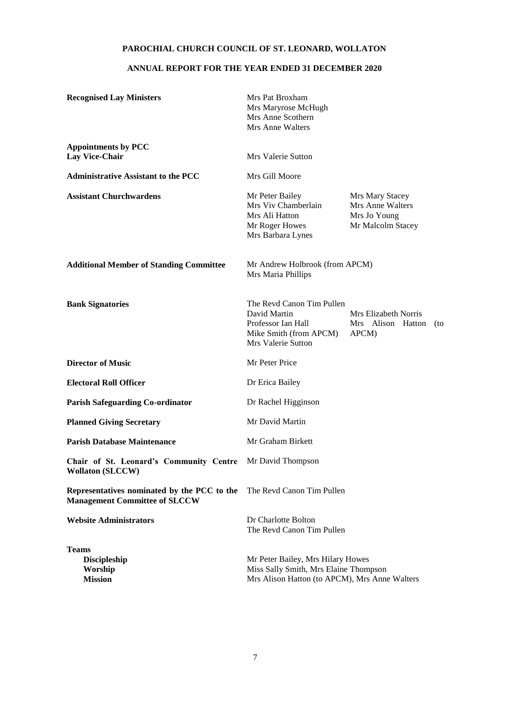# **ANNUAL REPORT FOR THE YEAR ENDED 31 DECEMBER 2020**

| <b>Recognised Lay Ministers</b>                                                     | Mrs Pat Broxham<br>Mrs Maryrose McHugh<br>Mrs Anne Scothern<br>Mrs Anne Walters                                                                                             |                                                    |     |  |  |
|-------------------------------------------------------------------------------------|-----------------------------------------------------------------------------------------------------------------------------------------------------------------------------|----------------------------------------------------|-----|--|--|
| <b>Appointments by PCC</b><br><b>Lay Vice-Chair</b>                                 | <b>Mrs Valerie Sutton</b>                                                                                                                                                   |                                                    |     |  |  |
| <b>Administrative Assistant to the PCC</b>                                          | Mrs Gill Moore                                                                                                                                                              |                                                    |     |  |  |
| <b>Assistant Churchwardens</b>                                                      | Mr Peter Bailey<br>Mrs Mary Stacey<br>Mrs Viv Chamberlain<br>Mrs Anne Walters<br>Mrs Ali Hatton<br>Mrs Jo Young<br>Mr Roger Howes<br>Mr Malcolm Stacey<br>Mrs Barbara Lynes |                                                    |     |  |  |
| <b>Additional Member of Standing Committee</b>                                      | Mr Andrew Holbrook (from APCM)<br>Mrs Maria Phillips                                                                                                                        |                                                    |     |  |  |
| <b>Bank Signatories</b>                                                             | The Revd Canon Tim Pullen<br>David Martin<br>Professor Ian Hall<br>Mike Smith (from APCM)<br><b>Mrs Valerie Sutton</b>                                                      | Mrs Elizabeth Norris<br>Mrs Alison Hatton<br>APCM) | (to |  |  |
| <b>Director of Music</b>                                                            | Mr Peter Price                                                                                                                                                              |                                                    |     |  |  |
| <b>Electoral Roll Officer</b>                                                       | Dr Erica Bailey                                                                                                                                                             |                                                    |     |  |  |
| <b>Parish Safeguarding Co-ordinator</b>                                             | Dr Rachel Higginson                                                                                                                                                         |                                                    |     |  |  |
| <b>Planned Giving Secretary</b>                                                     | Mr David Martin                                                                                                                                                             |                                                    |     |  |  |
| <b>Parish Database Maintenance</b>                                                  | Mr Graham Birkett                                                                                                                                                           |                                                    |     |  |  |
| Chair of St. Leonard's Community Centre<br><b>Wollaton (SLCCW)</b>                  | Mr David Thompson                                                                                                                                                           |                                                    |     |  |  |
| Representatives nominated by the PCC to the<br><b>Management Committee of SLCCW</b> | The Revd Canon Tim Pullen                                                                                                                                                   |                                                    |     |  |  |
| <b>Website Administrators</b>                                                       | Dr Charlotte Bolton<br>The Revd Canon Tim Pullen                                                                                                                            |                                                    |     |  |  |
| <b>Teams</b><br><b>Discipleship</b><br>Worship<br><b>Mission</b>                    | Mr Peter Bailey, Mrs Hilary Howes<br>Miss Sally Smith, Mrs Elaine Thompson<br>Mrs Alison Hatton (to APCM), Mrs Anne Walters                                                 |                                                    |     |  |  |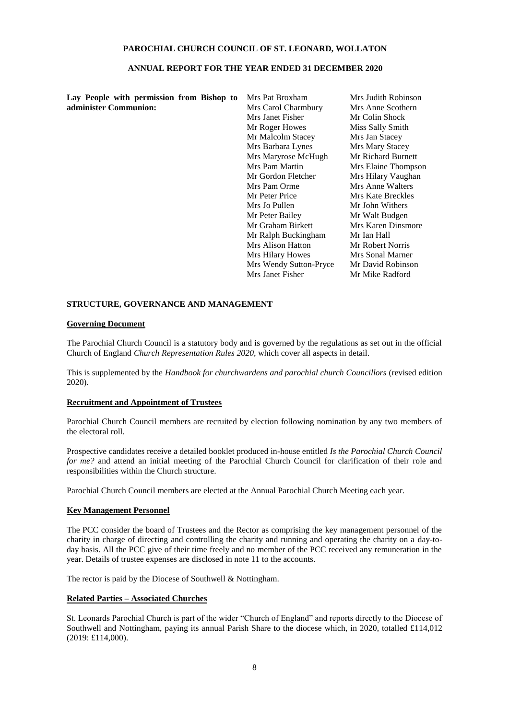### **ANNUAL REPORT FOR THE YEAR ENDED 31 DECEMBER 2020**

**Lay People with permission from Bishop to administer Communion:**

Mrs Pat Broxham Mrs Carol Charmbury Mrs Janet Fisher Mr Roger Howes Mr Malcolm Stacey Mrs Barbara Lynes Mrs Maryrose McHugh Mr Richard Burnett Mrs Pam Martin Mrs Elaine Thompson Mr Gordon Fletcher Mrs Hilary Vaughan Mrs Pam Orme Mrs Anne Walters<br>
Mrs Kate Breckles<br>
Mrs Kate Breckles Mrs Jo Pullen Mr John Withers Mr Peter Bailey Mr Walt Budgen Mr Graham Birkett Mrs Karen Dinsmore Mr Ralph Buckingham Mr Ian Hall Mrs Alison Hatton Mr Robert Norris Mrs Hilary Howes Mrs Sonal Marner Mrs Wendy Sutton-Pryce Mr David Robinson Mrs Janet Fisher Mr Mike Radford

Mrs Judith Robinson Mrs Anne Scothern Mr Colin Shock Miss Sally Smith Mrs Jan Stacey<br>Mrs Mary Stacey Mrs Kate Breckles

### **STRUCTURE, GOVERNANCE AND MANAGEMENT**

### **Governing Document**

The Parochial Church Council is a statutory body and is governed by the regulations as set out in the official Church of England *Church Representation Rules 2020,* which cover all aspects in detail.

This is supplemented by the *Handbook for churchwardens and parochial church Councillors* (revised edition 2020).

### **Recruitment and Appointment of Trustees**

Parochial Church Council members are recruited by election following nomination by any two members of the electoral roll.

Prospective candidates receive a detailed booklet produced in-house entitled *Is the Parochial Church Council for me?* and attend an initial meeting of the Parochial Church Council for clarification of their role and responsibilities within the Church structure.

Parochial Church Council members are elected at the Annual Parochial Church Meeting each year.

### **Key Management Personnel**

The PCC consider the board of Trustees and the Rector as comprising the key management personnel of the charity in charge of directing and controlling the charity and running and operating the charity on a day-today basis. All the PCC give of their time freely and no member of the PCC received any remuneration in the year. Details of trustee expenses are disclosed in note 11 to the accounts.

The rector is paid by the Diocese of Southwell & Nottingham.

### **Related Parties – Associated Churches**

St. Leonards Parochial Church is part of the wider "Church of England" and reports directly to the Diocese of Southwell and Nottingham, paying its annual Parish Share to the diocese which, in 2020, totalled £114,012 (2019: £114,000).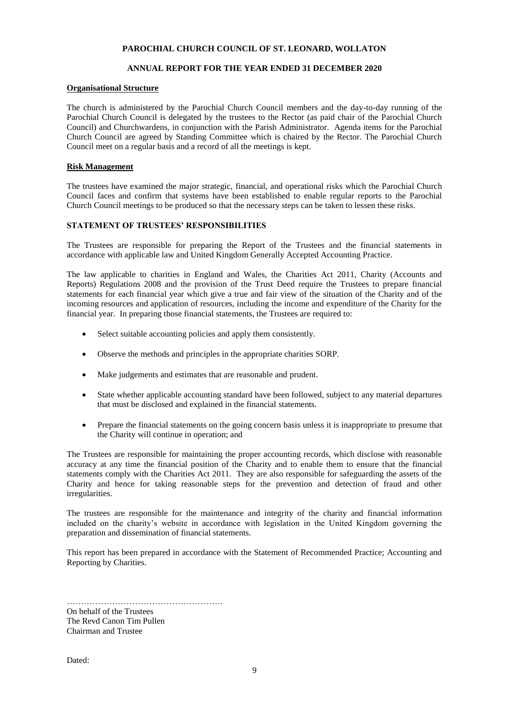# **ANNUAL REPORT FOR THE YEAR ENDED 31 DECEMBER 2020**

# **Organisational Structure**

The church is administered by the Parochial Church Council members and the day-to-day running of the Parochial Church Council is delegated by the trustees to the Rector (as paid chair of the Parochial Church Council) and Churchwardens, in conjunction with the Parish Administrator. Agenda items for the Parochial Church Council are agreed by Standing Committee which is chaired by the Rector. The Parochial Church Council meet on a regular basis and a record of all the meetings is kept.

## **Risk Management**

The trustees have examined the major strategic, financial, and operational risks which the Parochial Church Council faces and confirm that systems have been established to enable regular reports to the Parochial Church Council meetings to be produced so that the necessary steps can be taken to lessen these risks.

### **STATEMENT OF TRUSTEES' RESPONSIBILITIES**

The Trustees are responsible for preparing the Report of the Trustees and the financial statements in accordance with applicable law and United Kingdom Generally Accepted Accounting Practice.

The law applicable to charities in England and Wales, the Charities Act 2011, Charity (Accounts and Reports) Regulations 2008 and the provision of the Trust Deed require the Trustees to prepare financial statements for each financial year which give a true and fair view of the situation of the Charity and of the incoming resources and application of resources, including the income and expenditure of the Charity for the financial year. In preparing those financial statements, the Trustees are required to:

- Select suitable accounting policies and apply them consistently.
- Observe the methods and principles in the appropriate charities SORP.
- Make judgements and estimates that are reasonable and prudent.
- State whether applicable accounting standard have been followed, subject to any material departures that must be disclosed and explained in the financial statements.
- Prepare the financial statements on the going concern basis unless it is inappropriate to presume that the Charity will continue in operation; and

The Trustees are responsible for maintaining the proper accounting records, which disclose with reasonable accuracy at any time the financial position of the Charity and to enable them to ensure that the financial statements comply with the Charities Act 2011. They are also responsible for safeguarding the assets of the Charity and hence for taking reasonable steps for the prevention and detection of fraud and other irregularities.

The trustees are responsible for the maintenance and integrity of the charity and financial information included on the charity's website in accordance with legislation in the United Kingdom governing the preparation and dissemination of financial statements.

This report has been prepared in accordance with the Statement of Recommended Practice; Accounting and Reporting by Charities.

………………………………………………. On behalf of the Trustees The Revd Canon Tim Pullen Chairman and Trustee

Dated: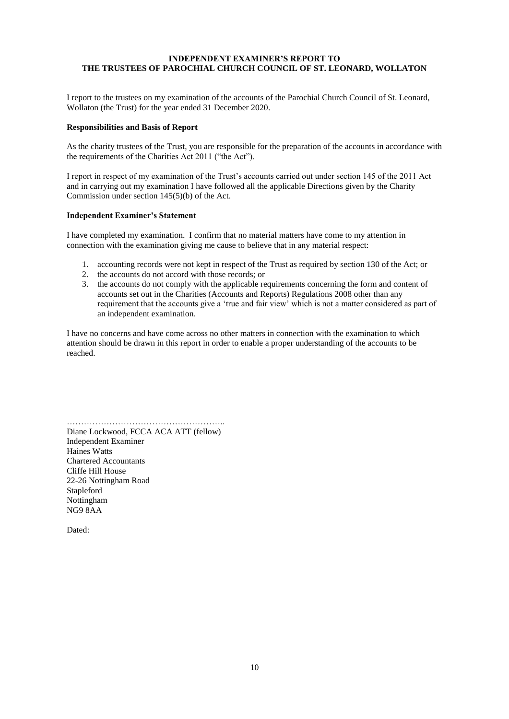# **INDEPENDENT EXAMINER'S REPORT TO THE TRUSTEES OF PAROCHIAL CHURCH COUNCIL OF ST. LEONARD, WOLLATON**

I report to the trustees on my examination of the accounts of the Parochial Church Council of St. Leonard, Wollaton (the Trust) for the year ended 31 December 2020.

### **Responsibilities and Basis of Report**

As the charity trustees of the Trust, you are responsible for the preparation of the accounts in accordance with the requirements of the Charities Act 2011 ("the Act").

I report in respect of my examination of the Trust's accounts carried out under section 145 of the 2011 Act and in carrying out my examination I have followed all the applicable Directions given by the Charity Commission under section 145(5)(b) of the Act.

### **Independent Examiner's Statement**

I have completed my examination. I confirm that no material matters have come to my attention in connection with the examination giving me cause to believe that in any material respect:

- 1. accounting records were not kept in respect of the Trust as required by section 130 of the Act; or
- 2. the accounts do not accord with those records; or
- 3. the accounts do not comply with the applicable requirements concerning the form and content of accounts set out in the Charities (Accounts and Reports) Regulations 2008 other than any requirement that the accounts give a 'true and fair view' which is not a matter considered as part of an independent examination.

I have no concerns and have come across no other matters in connection with the examination to which attention should be drawn in this report in order to enable a proper understanding of the accounts to be reached.

……………………………………………….. Diane Lockwood, FCCA ACA ATT (fellow) Independent Examiner Haines Watts Chartered Accountants Cliffe Hill House 22-26 Nottingham Road Stapleford Nottingham NG9 8AA

Dated: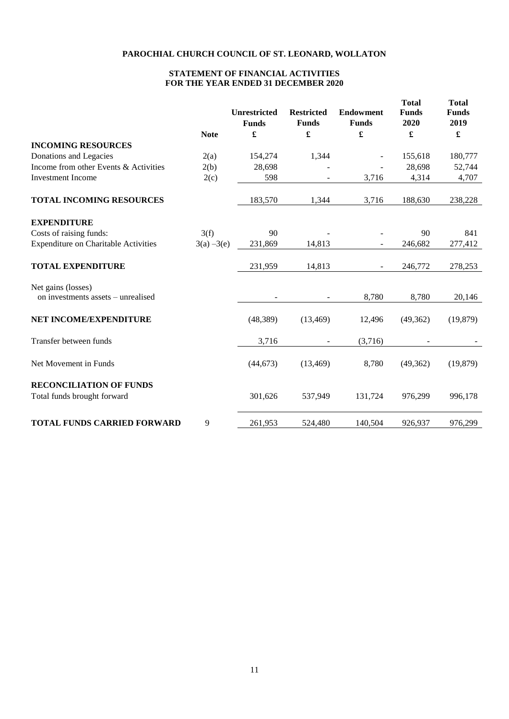# **STATEMENT OF FINANCIAL ACTIVITIES FOR THE YEAR ENDED 31 DECEMBER 2020**

|                                                               | <b>Note</b>   | <b>Unrestricted</b><br><b>Funds</b><br>£ | <b>Restricted</b><br><b>Funds</b><br>$\pmb{\mathfrak{L}}$ | <b>Endowment</b><br><b>Funds</b><br>£ | <b>Total</b><br><b>Funds</b><br>2020<br>£ | <b>Total</b><br><b>Funds</b><br>2019<br>£ |
|---------------------------------------------------------------|---------------|------------------------------------------|-----------------------------------------------------------|---------------------------------------|-------------------------------------------|-------------------------------------------|
| <b>INCOMING RESOURCES</b>                                     |               |                                          |                                                           |                                       |                                           |                                           |
| Donations and Legacies                                        | 2(a)          | 154,274                                  | 1,344                                                     |                                       | 155,618                                   | 180,777                                   |
| Income from other Events & Activities                         | 2(b)          | 28,698                                   |                                                           |                                       | 28,698                                    | 52,744                                    |
| <b>Investment Income</b>                                      | 2(c)          | 598                                      |                                                           | 3,716                                 | 4,314                                     | 4,707                                     |
| <b>TOTAL INCOMING RESOURCES</b>                               |               | 183,570                                  | 1,344                                                     | 3,716                                 | 188,630                                   | 238,228                                   |
| <b>EXPENDITURE</b>                                            |               |                                          |                                                           |                                       |                                           |                                           |
| Costs of raising funds:                                       | 3(f)          | 90                                       |                                                           |                                       | 90                                        | 841                                       |
| <b>Expenditure on Charitable Activities</b>                   | $3(a) - 3(e)$ | 231,869                                  | 14,813                                                    |                                       | 246,682                                   | 277,412                                   |
| <b>TOTAL EXPENDITURE</b>                                      |               | 231,959                                  | 14,813                                                    | $\blacksquare$                        | 246,772                                   | 278,253                                   |
| Net gains (losses)<br>on investments assets – unrealised      |               | $\overline{\phantom{a}}$                 | $\overline{\phantom{a}}$                                  | 8,780                                 | 8,780                                     | 20,146                                    |
| NET INCOME/EXPENDITURE                                        |               | (48, 389)                                | (13, 469)                                                 | 12,496                                | (49,362)                                  | (19, 879)                                 |
| Transfer between funds                                        |               | 3,716                                    |                                                           | (3,716)                               |                                           |                                           |
| Net Movement in Funds                                         |               | (44, 673)                                | (13, 469)                                                 | 8,780                                 | (49, 362)                                 | (19, 879)                                 |
| <b>RECONCILIATION OF FUNDS</b><br>Total funds brought forward |               | 301,626                                  | 537,949                                                   | 131,724                               | 976,299                                   | 996,178                                   |
| <b>TOTAL FUNDS CARRIED FORWARD</b>                            | 9             | 261,953                                  | 524,480                                                   | 140,504                               | 926,937                                   | 976,299                                   |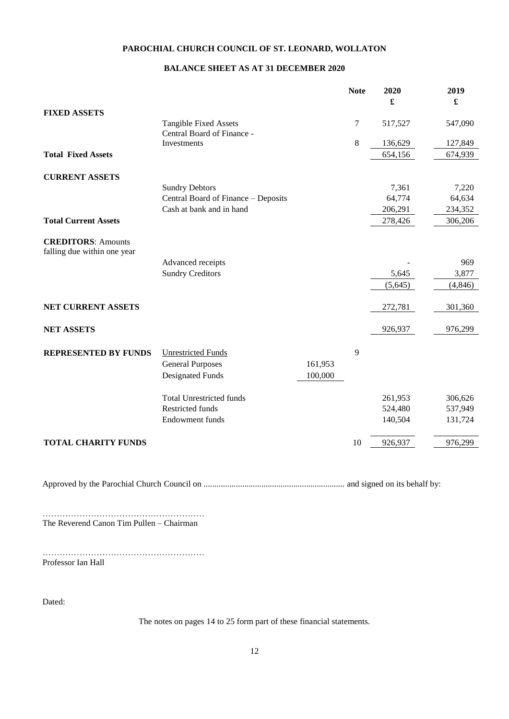# **BALANCE SHEET AS AT 31 DECEMBER 2020**

|                                                          |                                                      |         | <b>Note</b> | 2020<br>£ | 2019<br>£ |
|----------------------------------------------------------|------------------------------------------------------|---------|-------------|-----------|-----------|
| <b>FIXED ASSETS</b>                                      |                                                      |         |             |           |           |
|                                                          | Tangible Fixed Assets<br>Central Board of Finance -  |         | 7           | 517,527   | 547,090   |
|                                                          | Investments                                          |         | 8           | 136,629   | 127,849   |
| <b>Total Fixed Assets</b>                                |                                                      |         |             | 654,156   | 674,939   |
| <b>CURRENT ASSETS</b>                                    |                                                      |         |             |           |           |
|                                                          | <b>Sundry Debtors</b>                                |         |             | 7,361     | 7,220     |
|                                                          | Central Board of Finance - Deposits                  |         |             | 64,774    | 64,634    |
|                                                          | Cash at bank and in hand                             |         |             | 206,291   | 234,352   |
| <b>Total Current Assets</b>                              |                                                      |         |             | 278,426   | 306,206   |
| <b>CREDITORS: Amounts</b><br>falling due within one year |                                                      |         |             |           |           |
|                                                          | Advanced receipts                                    |         |             |           | 969       |
|                                                          | <b>Sundry Creditors</b>                              |         |             | 5,645     | 3,877     |
|                                                          |                                                      |         |             | (5,645)   | (4, 846)  |
| NET CURRENT ASSETS                                       |                                                      |         |             | 272,781   | 301,360   |
| <b>NET ASSETS</b>                                        |                                                      |         |             | 926,937   | 976,299   |
| <b>REPRESENTED BY FUNDS</b>                              | <b>Unrestricted Funds</b><br><b>General Purposes</b> | 161,953 | 9           |           |           |
|                                                          | <b>Designated Funds</b>                              | 100,000 |             |           |           |
|                                                          | <b>Total Unrestricted funds</b>                      |         |             | 261,953   | 306,626   |
|                                                          | <b>Restricted funds</b>                              |         |             | 524,480   | 537,949   |
|                                                          | Endowment funds                                      |         |             | 140,504   | 131,724   |
| <b>TOTAL CHARITY FUNDS</b>                               |                                                      |         | 10          | 926,937   | 976,299   |

Approved by the Parochial Church Council on .................................................................. and signed on its behalf by:

………………………………………………… The Reverend Canon Tim Pullen – Chairman

………………………………………………… Professor Ian Hall

Dated:

The notes on pages 14 to 25 form part of these financial statements.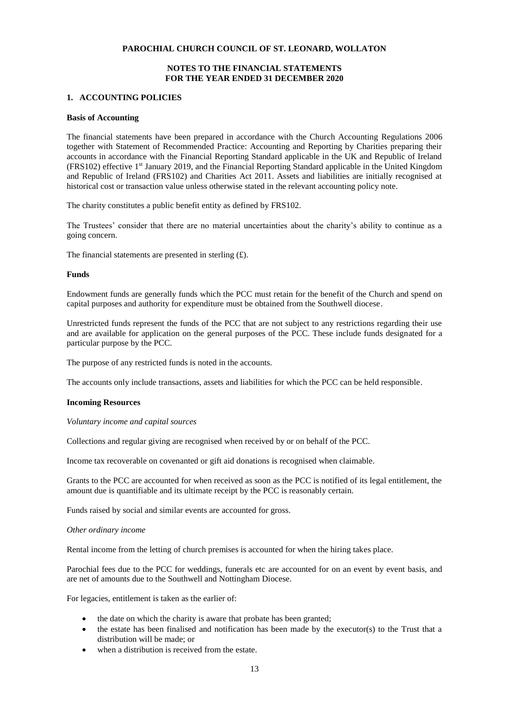# **NOTES TO THE FINANCIAL STATEMENTS FOR THE YEAR ENDED 31 DECEMBER 2020**

### **1. ACCOUNTING POLICIES**

### **Basis of Accounting**

The financial statements have been prepared in accordance with the Church Accounting Regulations 2006 together with Statement of Recommended Practice: Accounting and Reporting by Charities preparing their accounts in accordance with the Financial Reporting Standard applicable in the UK and Republic of Ireland (FRS102) effective 1st January 2019, and the Financial Reporting Standard applicable in the United Kingdom and Republic of Ireland (FRS102) and Charities Act 2011. Assets and liabilities are initially recognised at historical cost or transaction value unless otherwise stated in the relevant accounting policy note.

The charity constitutes a public benefit entity as defined by FRS102.

The Trustees' consider that there are no material uncertainties about the charity's ability to continue as a going concern.

The financial statements are presented in sterling  $(E)$ .

#### **Funds**

Endowment funds are generally funds which the PCC must retain for the benefit of the Church and spend on capital purposes and authority for expenditure must be obtained from the Southwell diocese.

Unrestricted funds represent the funds of the PCC that are not subject to any restrictions regarding their use and are available for application on the general purposes of the PCC. These include funds designated for a particular purpose by the PCC.

The purpose of any restricted funds is noted in the accounts.

The accounts only include transactions, assets and liabilities for which the PCC can be held responsible.

#### **Incoming Resources**

*Voluntary income and capital sources*

Collections and regular giving are recognised when received by or on behalf of the PCC.

Income tax recoverable on covenanted or gift aid donations is recognised when claimable.

Grants to the PCC are accounted for when received as soon as the PCC is notified of its legal entitlement, the amount due is quantifiable and its ultimate receipt by the PCC is reasonably certain.

Funds raised by social and similar events are accounted for gross.

#### *Other ordinary income*

Rental income from the letting of church premises is accounted for when the hiring takes place.

Parochial fees due to the PCC for weddings, funerals etc are accounted for on an event by event basis, and are net of amounts due to the Southwell and Nottingham Diocese.

For legacies, entitlement is taken as the earlier of:

- the date on which the charity is aware that probate has been granted;
- the estate has been finalised and notification has been made by the executor(s) to the Trust that a distribution will be made; or
- when a distribution is received from the estate.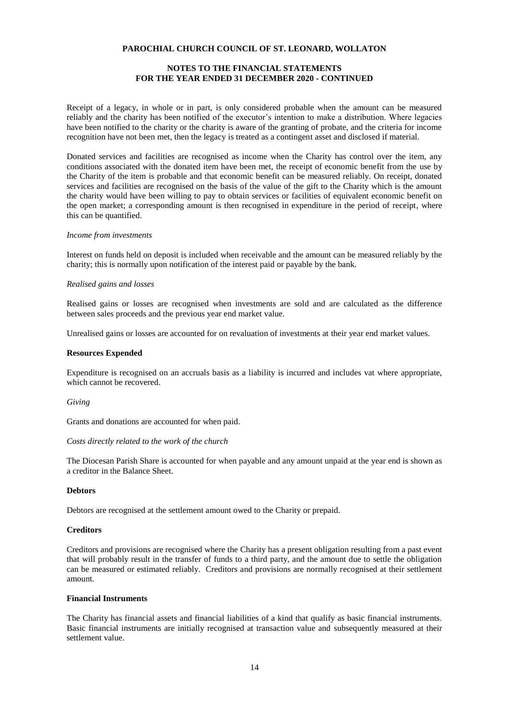# **NOTES TO THE FINANCIAL STATEMENTS FOR THE YEAR ENDED 31 DECEMBER 2020 - CONTINUED**

Receipt of a legacy, in whole or in part, is only considered probable when the amount can be measured reliably and the charity has been notified of the executor's intention to make a distribution. Where legacies have been notified to the charity or the charity is aware of the granting of probate, and the criteria for income recognition have not been met, then the legacy is treated as a contingent asset and disclosed if material.

Donated services and facilities are recognised as income when the Charity has control over the item, any conditions associated with the donated item have been met, the receipt of economic benefit from the use by the Charity of the item is probable and that economic benefit can be measured reliably. On receipt, donated services and facilities are recognised on the basis of the value of the gift to the Charity which is the amount the charity would have been willing to pay to obtain services or facilities of equivalent economic benefit on the open market; a corresponding amount is then recognised in expenditure in the period of receipt, where this can be quantified.

#### *Income from investments*

Interest on funds held on deposit is included when receivable and the amount can be measured reliably by the charity; this is normally upon notification of the interest paid or payable by the bank.

### *Realised gains and losses*

Realised gains or losses are recognised when investments are sold and are calculated as the difference between sales proceeds and the previous year end market value.

Unrealised gains or losses are accounted for on revaluation of investments at their year end market values.

#### **Resources Expended**

Expenditure is recognised on an accruals basis as a liability is incurred and includes vat where appropriate, which cannot be recovered.

#### *Giving*

Grants and donations are accounted for when paid.

### *Costs directly related to the work of the church*

The Diocesan Parish Share is accounted for when payable and any amount unpaid at the year end is shown as a creditor in the Balance Sheet.

#### **Debtors**

Debtors are recognised at the settlement amount owed to the Charity or prepaid.

### **Creditors**

Creditors and provisions are recognised where the Charity has a present obligation resulting from a past event that will probably result in the transfer of funds to a third party, and the amount due to settle the obligation can be measured or estimated reliably. Creditors and provisions are normally recognised at their settlement amount.

#### **Financial Instruments**

The Charity has financial assets and financial liabilities of a kind that qualify as basic financial instruments. Basic financial instruments are initially recognised at transaction value and subsequently measured at their settlement value.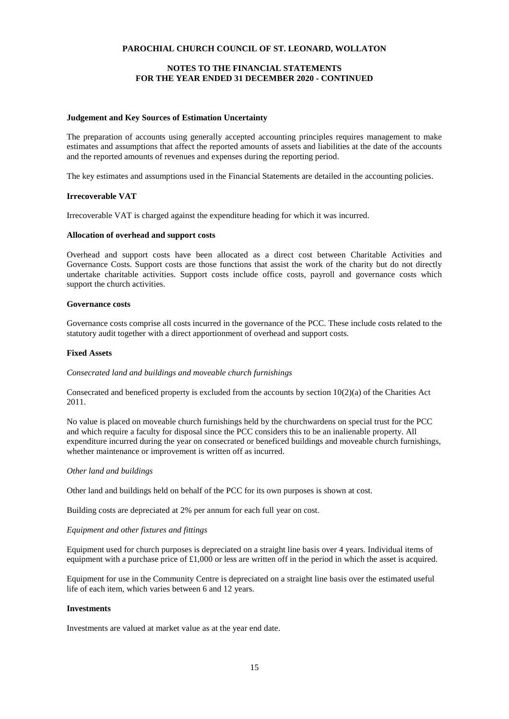# **NOTES TO THE FINANCIAL STATEMENTS FOR THE YEAR ENDED 31 DECEMBER 2020 - CONTINUED**

### **Judgement and Key Sources of Estimation Uncertainty**

The preparation of accounts using generally accepted accounting principles requires management to make estimates and assumptions that affect the reported amounts of assets and liabilities at the date of the accounts and the reported amounts of revenues and expenses during the reporting period.

The key estimates and assumptions used in the Financial Statements are detailed in the accounting policies.

### **Irrecoverable VAT**

Irrecoverable VAT is charged against the expenditure heading for which it was incurred.

### **Allocation of overhead and support costs**

Overhead and support costs have been allocated as a direct cost between Charitable Activities and Governance Costs. Support costs are those functions that assist the work of the charity but do not directly undertake charitable activities. Support costs include office costs, payroll and governance costs which support the church activities.

### **Governance costs**

Governance costs comprise all costs incurred in the governance of the PCC. These include costs related to the statutory audit together with a direct apportionment of overhead and support costs.

### **Fixed Assets**

### *Consecrated land and buildings and moveable church furnishings*

Consecrated and beneficed property is excluded from the accounts by section  $10(2)(a)$  of the Charities Act 2011.

No value is placed on moveable church furnishings held by the churchwardens on special trust for the PCC and which require a faculty for disposal since the PCC considers this to be an inalienable property. All expenditure incurred during the year on consecrated or beneficed buildings and moveable church furnishings, whether maintenance or improvement is written off as incurred.

### *Other land and buildings*

Other land and buildings held on behalf of the PCC for its own purposes is shown at cost.

Building costs are depreciated at 2% per annum for each full year on cost.

### *Equipment and other fixtures and fittings*

Equipment used for church purposes is depreciated on a straight line basis over 4 years. Individual items of equipment with a purchase price of  $\pounds1,000$  or less are written off in the period in which the asset is acquired.

Equipment for use in the Community Centre is depreciated on a straight line basis over the estimated useful life of each item, which varies between 6 and 12 years.

#### **Investments**

Investments are valued at market value as at the year end date.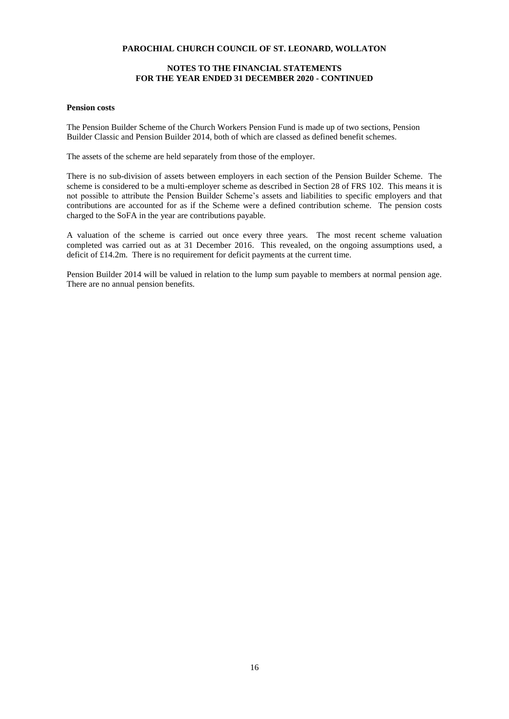# **NOTES TO THE FINANCIAL STATEMENTS FOR THE YEAR ENDED 31 DECEMBER 2020 - CONTINUED**

#### **Pension costs**

The Pension Builder Scheme of the Church Workers Pension Fund is made up of two sections, Pension Builder Classic and Pension Builder 2014, both of which are classed as defined benefit schemes.

The assets of the scheme are held separately from those of the employer.

There is no sub-division of assets between employers in each section of the Pension Builder Scheme. The scheme is considered to be a multi-employer scheme as described in Section 28 of FRS 102. This means it is not possible to attribute the Pension Builder Scheme's assets and liabilities to specific employers and that contributions are accounted for as if the Scheme were a defined contribution scheme. The pension costs charged to the SoFA in the year are contributions payable.

A valuation of the scheme is carried out once every three years. The most recent scheme valuation completed was carried out as at 31 December 2016. This revealed, on the ongoing assumptions used, a deficit of £14.2m. There is no requirement for deficit payments at the current time.

Pension Builder 2014 will be valued in relation to the lump sum payable to members at normal pension age. There are no annual pension benefits.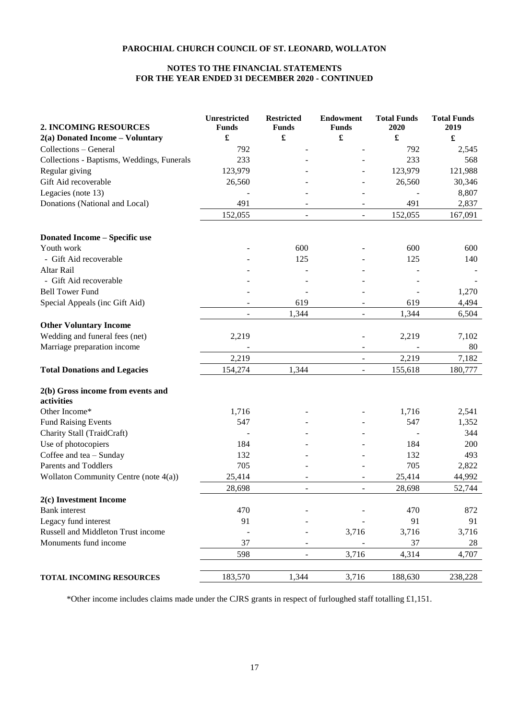# **NOTES TO THE FINANCIAL STATEMENTS FOR THE YEAR ENDED 31 DECEMBER 2020 - CONTINUED**

| 2. INCOMING RESOURCES                           | <b>Unrestricted</b><br><b>Funds</b> | <b>Restricted</b><br><b>Funds</b> | <b>Endowment</b><br><b>Funds</b> | <b>Total Funds</b><br>2020 | <b>Total Funds</b><br>2019 |
|-------------------------------------------------|-------------------------------------|-----------------------------------|----------------------------------|----------------------------|----------------------------|
| $2(a)$ Donated Income – Voluntary               | $\pmb{\mathfrak{L}}$                | $\pmb{\mathfrak{L}}$              | $\pmb{\mathfrak{L}}$             | $\pmb{\mathfrak{L}}$       | $\pmb{\mathfrak{L}}$       |
| Collections - General                           | 792                                 |                                   |                                  | 792                        | 2,545                      |
| Collections - Baptisms, Weddings, Funerals      | 233                                 |                                   |                                  | 233                        | 568                        |
| Regular giving                                  | 123,979                             |                                   |                                  | 123,979                    | 121,988                    |
| Gift Aid recoverable                            | 26,560                              |                                   |                                  | 26,560                     | 30,346                     |
| Legacies (note 13)                              |                                     |                                   |                                  |                            | 8,807                      |
| Donations (National and Local)                  | 491                                 |                                   |                                  | 491                        | 2,837                      |
|                                                 | 152,055                             |                                   |                                  | 152,055                    | 167,091                    |
| <b>Donated Income - Specific use</b>            |                                     |                                   |                                  |                            |                            |
| Youth work                                      |                                     | 600                               |                                  | 600                        | 600                        |
| - Gift Aid recoverable                          |                                     | 125                               |                                  | 125                        | 140                        |
| Altar Rail                                      |                                     |                                   |                                  |                            |                            |
| - Gift Aid recoverable                          |                                     |                                   |                                  |                            |                            |
| <b>Bell Tower Fund</b>                          |                                     |                                   |                                  |                            | 1,270                      |
| Special Appeals (inc Gift Aid)                  |                                     | 619                               |                                  | 619                        | 4,494                      |
|                                                 |                                     | 1,344                             |                                  | 1,344                      | 6,504                      |
| <b>Other Voluntary Income</b>                   |                                     |                                   |                                  |                            |                            |
| Wedding and funeral fees (net)                  | 2,219                               |                                   |                                  | 2,219                      | 7,102                      |
| Marriage preparation income                     |                                     |                                   |                                  |                            | 80                         |
|                                                 | 2,219                               |                                   |                                  | 2,219                      | 7,182                      |
| <b>Total Donations and Legacies</b>             | 154,274                             | 1,344                             |                                  | 155,618                    | 180,777                    |
| 2(b) Gross income from events and<br>activities |                                     |                                   |                                  |                            |                            |
| Other Income*                                   | 1,716                               |                                   |                                  | 1,716                      | 2,541                      |
| <b>Fund Raising Events</b>                      | 547                                 |                                   |                                  | 547                        | 1,352                      |
| Charity Stall (TraidCraft)                      |                                     |                                   |                                  |                            | 344                        |
| Use of photocopiers                             | 184                                 |                                   |                                  | 184                        | 200                        |
| Coffee and tea - Sunday                         | 132                                 |                                   |                                  | 132                        | 493                        |
| Parents and Toddlers                            | 705                                 |                                   |                                  | 705                        | 2,822                      |
| Wollaton Community Centre (note 4(a))           | 25,414                              |                                   |                                  | 25,414                     | 44,992                     |
|                                                 | 28,698                              | $\sim$                            | $\overline{a}$                   | 28,698                     | 52,744                     |
| 2(c) Investment Income                          |                                     |                                   |                                  |                            |                            |
| <b>Bank</b> interest                            | 470                                 |                                   |                                  | 470                        | 872                        |
| Legacy fund interest                            | 91                                  |                                   |                                  | 91                         | 91                         |
| Russell and Middleton Trust income              |                                     |                                   | 3,716                            | 3,716                      | 3,716                      |
| Monuments fund income                           | 37                                  |                                   |                                  | 37                         | 28                         |
|                                                 | 598                                 |                                   | 3,716                            | 4,314                      | 4,707                      |
| TOTAL INCOMING RESOURCES                        | 183,570                             | 1,344                             | 3,716                            | 188,630                    | 238,228                    |

\*Other income includes claims made under the CJRS grants in respect of furloughed staff totalling £1,151.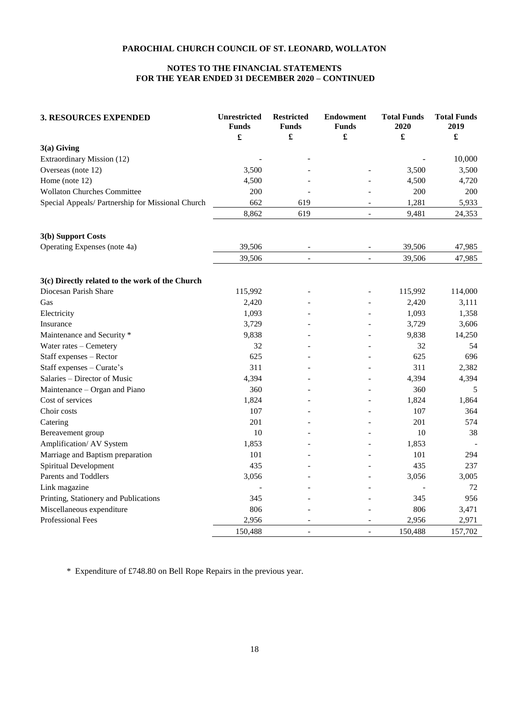# **NOTES TO THE FINANCIAL STATEMENTS FOR THE YEAR ENDED 31 DECEMBER 2020 – CONTINUED**

| <b>3. RESOURCES EXPENDED</b>                      | Unrestricted<br><b>Funds</b><br>£ | <b>Restricted</b><br><b>Funds</b><br>$\pmb{\mathfrak{L}}$ | <b>Endowment</b><br><b>Funds</b><br>£ | <b>Total Funds</b><br>2020<br>£ | <b>Total Funds</b><br>2019<br>£ |
|---------------------------------------------------|-----------------------------------|-----------------------------------------------------------|---------------------------------------|---------------------------------|---------------------------------|
| $3(a)$ Giving                                     |                                   |                                                           |                                       |                                 |                                 |
| Extraordinary Mission (12)                        |                                   |                                                           |                                       |                                 | 10,000                          |
| Overseas (note 12)                                | 3,500                             |                                                           |                                       | 3,500                           | 3,500                           |
| Home (note 12)                                    | 4,500                             |                                                           |                                       | 4,500                           | 4,720                           |
| <b>Wollaton Churches Committee</b>                | 200                               |                                                           |                                       | 200                             | 200                             |
| Special Appeals/ Partnership for Missional Church | 662                               | 619                                                       |                                       | 1,281                           | 5,933                           |
|                                                   | 8,862                             | 619                                                       | $\overline{a}$                        | 9,481                           | 24,353                          |
| 3(b) Support Costs                                |                                   |                                                           |                                       |                                 |                                 |
| Operating Expenses (note 4a)                      | 39,506                            |                                                           | $\overline{\phantom{a}}$              | 39,506                          | 47,985                          |
|                                                   | 39,506                            | $\overline{\phantom{a}}$                                  | $\overline{\phantom{a}}$              | 39,506                          | 47,985                          |
| 3(c) Directly related to the work of the Church   |                                   |                                                           |                                       |                                 |                                 |
| Diocesan Parish Share                             | 115,992                           |                                                           |                                       | 115,992                         | 114,000                         |
| Gas                                               | 2,420                             |                                                           |                                       | 2,420                           | 3,111                           |
| Electricity                                       | 1,093                             |                                                           |                                       | 1,093                           | 1,358                           |
| Insurance                                         | 3,729                             |                                                           |                                       | 3,729                           | 3,606                           |
| Maintenance and Security *                        | 9,838                             |                                                           |                                       | 9,838                           | 14,250                          |
| Water rates - Cemetery                            | 32                                |                                                           |                                       | 32                              | 54                              |
| Staff expenses - Rector                           | 625                               |                                                           |                                       | 625                             | 696                             |
| Staff expenses - Curate's                         | 311                               |                                                           |                                       | 311                             | 2,382                           |
| Salaries - Director of Music                      | 4,394                             |                                                           |                                       | 4,394                           | 4,394                           |
| Maintenance – Organ and Piano                     | 360                               |                                                           |                                       | 360                             | 5                               |
| Cost of services                                  | 1,824                             |                                                           |                                       | 1,824                           | 1,864                           |
| Choir costs                                       | 107                               |                                                           |                                       | 107                             | 364                             |
| Catering                                          | 201                               |                                                           |                                       | 201                             | 574                             |
| Bereavement group                                 | 10                                |                                                           |                                       | 10                              | 38                              |
| Amplification/ AV System                          | 1,853                             |                                                           |                                       | 1,853                           |                                 |
| Marriage and Baptism preparation                  | 101                               |                                                           |                                       | 101                             | 294                             |
| Spiritual Development                             | 435                               |                                                           |                                       | 435                             | 237                             |
| Parents and Toddlers                              | 3,056                             |                                                           |                                       | 3,056                           | 3,005                           |
| Link magazine                                     |                                   |                                                           |                                       |                                 | 72                              |
| Printing, Stationery and Publications             | 345                               |                                                           |                                       | 345                             | 956                             |
| Miscellaneous expenditure                         | 806                               |                                                           |                                       | 806                             | 3,471                           |
| Professional Fees                                 | 2,956                             |                                                           |                                       | 2,956                           | 2,971                           |
|                                                   | 150,488                           |                                                           |                                       | 150,488                         | 157,702                         |

\* Expenditure of £748.80 on Bell Rope Repairs in the previous year.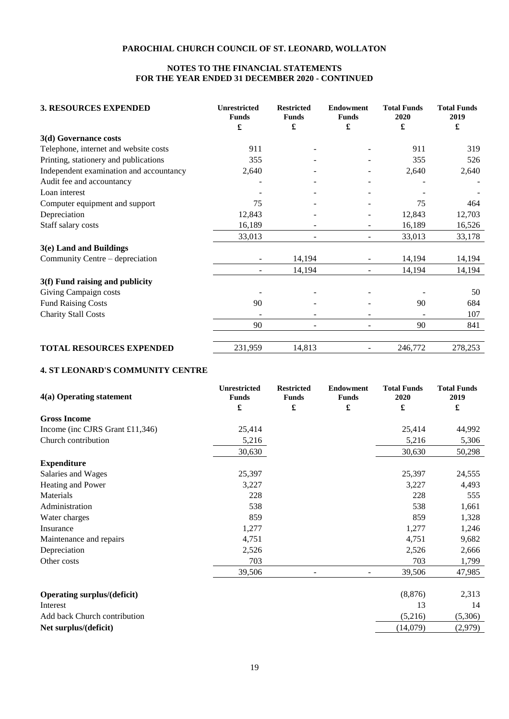# **NOTES TO THE FINANCIAL STATEMENTS FOR THE YEAR ENDED 31 DECEMBER 2020 - CONTINUED**

| <b>3. RESOURCES EXPENDED</b>            | <b>Unrestricted</b><br><b>Funds</b> | <b>Restricted</b><br><b>Funds</b> | <b>Endowment</b><br><b>Funds</b> | <b>Total Funds</b><br>2020 | <b>Total Funds</b><br>2019 |
|-----------------------------------------|-------------------------------------|-----------------------------------|----------------------------------|----------------------------|----------------------------|
|                                         | £                                   | £                                 | £                                | £                          | £                          |
| 3(d) Governance costs                   |                                     |                                   |                                  |                            |                            |
| Telephone, internet and website costs   | 911                                 |                                   |                                  | 911                        | 319                        |
| Printing, stationery and publications   | 355                                 |                                   |                                  | 355                        | 526                        |
| Independent examination and accountancy | 2,640                               |                                   |                                  | 2,640                      | 2,640                      |
| Audit fee and accountancy               |                                     |                                   |                                  |                            |                            |
| Loan interest                           |                                     |                                   |                                  |                            |                            |
| Computer equipment and support          | 75                                  |                                   |                                  | 75                         | 464                        |
| Depreciation                            | 12,843                              |                                   |                                  | 12,843                     | 12,703                     |
| Staff salary costs                      | 16,189                              |                                   |                                  | 16,189                     | 16,526                     |
|                                         | 33,013                              | $\blacksquare$                    |                                  | 33,013                     | 33,178                     |
| 3(e) Land and Buildings                 |                                     |                                   |                                  |                            |                            |
| Community Centre – depreciation         |                                     | 14,194                            |                                  | 14,194                     | 14,194                     |
|                                         |                                     | 14,194                            |                                  | 14,194                     | 14,194                     |
| 3(f) Fund raising and publicity         |                                     |                                   |                                  |                            |                            |
| Giving Campaign costs                   |                                     |                                   |                                  |                            | 50                         |
| <b>Fund Raising Costs</b>               | 90                                  |                                   |                                  | 90                         | 684                        |
| <b>Charity Stall Costs</b>              |                                     |                                   |                                  |                            | 107                        |
|                                         | 90                                  | $\blacksquare$                    | ÷                                | 90                         | 841                        |
|                                         |                                     |                                   |                                  |                            |                            |
| <b>TOTAL RESOURCES EXPENDED</b>         | 231,959                             | 14,813                            |                                  | 246,772                    | 278,253                    |

# **4. ST LEONARD'S COMMUNITY CENTRE**

| 4(a) Operating statement           | <b>Unrestricted</b><br><b>Funds</b> | <b>Restricted</b><br><b>Funds</b> | <b>Endowment</b><br><b>Funds</b> | <b>Total Funds</b><br>2020 | <b>Total Funds</b><br>2019 |
|------------------------------------|-------------------------------------|-----------------------------------|----------------------------------|----------------------------|----------------------------|
|                                    | £                                   | £                                 | £                                | £                          | $\pmb{\mathfrak{L}}$       |
| <b>Gross Income</b>                |                                     |                                   |                                  |                            |                            |
| Income (inc CJRS Grant £11,346)    | 25,414                              |                                   |                                  | 25,414                     | 44,992                     |
| Church contribution                | 5,216                               |                                   |                                  | 5,216                      | 5,306                      |
|                                    | 30,630                              |                                   |                                  | 30,630                     | 50,298                     |
| <b>Expenditure</b>                 |                                     |                                   |                                  |                            |                            |
| Salaries and Wages                 | 25,397                              |                                   |                                  | 25,397                     | 24,555                     |
| Heating and Power                  | 3,227                               |                                   |                                  | 3,227                      | 4,493                      |
| Materials                          | 228                                 |                                   |                                  | 228                        | 555                        |
| Administration                     | 538                                 |                                   |                                  | 538                        | 1,661                      |
| Water charges                      | 859                                 |                                   |                                  | 859                        | 1,328                      |
| Insurance                          | 1,277                               |                                   |                                  | 1,277                      | 1,246                      |
| Maintenance and repairs            | 4,751                               |                                   |                                  | 4,751                      | 9,682                      |
| Depreciation                       | 2,526                               |                                   |                                  | 2,526                      | 2,666                      |
| Other costs                        | 703                                 |                                   |                                  | 703                        | 1,799                      |
|                                    | 39,506                              |                                   |                                  | 39,506                     | 47,985                     |
| <b>Operating surplus/(deficit)</b> |                                     |                                   |                                  | (8, 876)                   | 2,313                      |
| Interest                           |                                     |                                   |                                  | 13                         | 14                         |

| Interest                     |          |         |
|------------------------------|----------|---------|
| Add back Church contribution | (5.216)  | (5.306) |
| Net surplus/(deficit)        | (14.079) | (2,979) |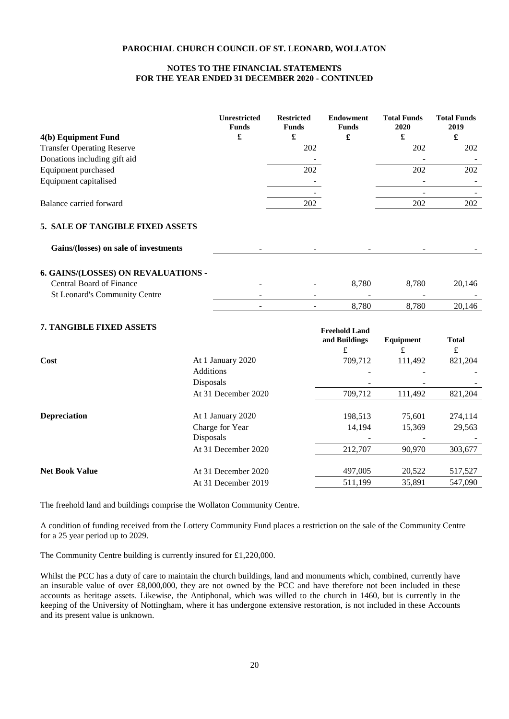# **NOTES TO THE FINANCIAL STATEMENTS FOR THE YEAR ENDED 31 DECEMBER 2020 - CONTINUED**

|                                       |                  | <b>Unrestricted</b><br><b>Funds</b> | <b>Restricted</b><br><b>Funds</b> | <b>Endowment</b><br><b>Funds</b> | <b>Total Funds</b><br>2020 | <b>Total Funds</b><br>2019 |
|---------------------------------------|------------------|-------------------------------------|-----------------------------------|----------------------------------|----------------------------|----------------------------|
| 4(b) Equipment Fund                   |                  | £                                   | £                                 | £                                | £                          | $\pmb{\mathfrak{L}}$       |
| <b>Transfer Operating Reserve</b>     |                  |                                     | 202                               |                                  | 202                        | 202                        |
| Donations including gift aid          |                  |                                     |                                   |                                  |                            |                            |
| Equipment purchased                   |                  |                                     | 202                               |                                  | 202                        | 202                        |
| Equipment capitalised                 |                  |                                     |                                   |                                  |                            |                            |
|                                       |                  |                                     |                                   |                                  |                            |                            |
| Balance carried forward               |                  |                                     | 202                               |                                  | 202                        | 202                        |
| 5. SALE OF TANGIBLE FIXED ASSETS      |                  |                                     |                                   |                                  |                            |                            |
| Gains/(losses) on sale of investments |                  |                                     |                                   |                                  |                            |                            |
| 6. GAINS/(LOSSES) ON REVALUATIONS -   |                  |                                     |                                   |                                  |                            |                            |
| <b>Central Board of Finance</b>       |                  |                                     |                                   | 8,780                            | 8,780                      | 20,146                     |
| St Leonard's Community Centre         |                  |                                     |                                   |                                  |                            |                            |
|                                       |                  |                                     |                                   | 8,780                            | 8,780                      | 20,146                     |
| 7. TANGIBLE FIXED ASSETS              |                  |                                     |                                   | <b>Freehold Land</b>             |                            |                            |
|                                       |                  |                                     |                                   | and Buildings                    | Equipment                  | <b>Total</b>               |
|                                       |                  |                                     |                                   | £                                | $\pounds$                  | $\pounds$                  |
| Cost                                  |                  | At 1 January 2020                   |                                   | 709,712                          | 111,492                    | 821,204                    |
|                                       | <b>Additions</b> |                                     |                                   |                                  |                            |                            |
|                                       | Disposals        |                                     |                                   |                                  |                            |                            |
|                                       |                  | At 31 December 2020                 |                                   | 709,712                          | 111,492                    | 821,204                    |
|                                       |                  |                                     |                                   |                                  |                            |                            |

| <b>Depreciation</b>   | At 1 January 2020   | 198.513 | 75.601 | 274,114 |
|-----------------------|---------------------|---------|--------|---------|
|                       | Charge for Year     | 14.194  | 15.369 | 29,563  |
|                       | <b>Disposals</b>    |         |        |         |
|                       | At 31 December 2020 | 212,707 | 90,970 | 303,677 |
|                       |                     |         |        |         |
| <b>Net Book Value</b> | At 31 December 2020 | 497,005 | 20,522 | 517,527 |
|                       | At 31 December 2019 | 511.199 | 35.891 | 547,090 |

The freehold land and buildings comprise the Wollaton Community Centre.

A condition of funding received from the Lottery Community Fund places a restriction on the sale of the Community Centre for a 25 year period up to 2029.

The Community Centre building is currently insured for £1,220,000.

Whilst the PCC has a duty of care to maintain the church buildings, land and monuments which, combined, currently have an insurable value of over £8,000,000, they are not owned by the PCC and have therefore not been included in these accounts as heritage assets. Likewise, the Antiphonal, which was willed to the church in 1460, but is currently in the keeping of the University of Nottingham, where it has undergone extensive restoration, is not included in these Accounts and its present value is unknown.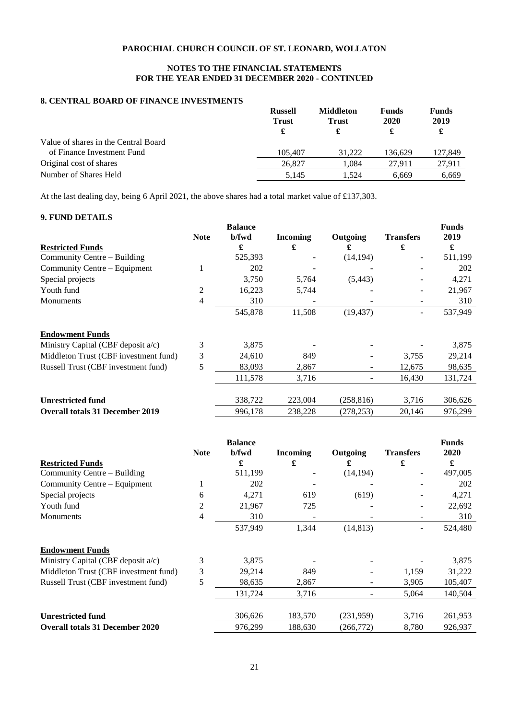# **NOTES TO THE FINANCIAL STATEMENTS FOR THE YEAR ENDED 31 DECEMBER 2020 - CONTINUED**

# **8. CENTRAL BOARD OF FINANCE INVESTMENTS**

|                                      | <b>Russell</b><br><b>Trust</b><br>£ | <b>Middleton</b><br><b>Trust</b><br>£ | <b>Funds</b><br>2020 | <b>Funds</b><br>2019<br>£ |
|--------------------------------------|-------------------------------------|---------------------------------------|----------------------|---------------------------|
| Value of shares in the Central Board |                                     |                                       |                      |                           |
| of Finance Investment Fund           | 105,407                             | 31.222                                | 136.629              | 127,849                   |
| Original cost of shares              | 26,827                              | 1.084                                 | 27.911               | 27.911                    |
| Number of Shares Held                | 5.145                               | 1.524                                 | 6.669                | 6.669                     |

At the last dealing day, being 6 April 2021, the above shares had a total market value of £137,303.

# **9. FUND DETAILS**

|                                        |             | <b>Balance</b> |                 |            |                          | <b>Funds</b> |
|----------------------------------------|-------------|----------------|-----------------|------------|--------------------------|--------------|
|                                        | <b>Note</b> | b/fwd          | <b>Incoming</b> | Outgoing   | <b>Transfers</b>         | 2019         |
| <b>Restricted Funds</b>                |             | £              | £               | £          | £                        | £            |
| Community Centre – Building            |             | 525,393        |                 | (14, 194)  | $\overline{\phantom{a}}$ | 511,199      |
| Community Centre – Equipment           |             | 202            |                 |            |                          | 202          |
| Special projects                       |             | 3,750          | 5,764           | (5, 443)   |                          | 4,271        |
| Youth fund                             | 2           | 16,223         | 5,744           |            |                          | 21,967       |
| <b>Monuments</b>                       | 4           | 310            |                 |            |                          | 310          |
|                                        |             | 545,878        | 11,508          | (19, 437)  | $\overline{\phantom{a}}$ | 537,949      |
| <b>Endowment Funds</b>                 |             |                |                 |            |                          |              |
| Ministry Capital (CBF deposit $a/c$ )  | 3           | 3,875          |                 |            |                          | 3,875        |
| Middleton Trust (CBF investment fund)  | 3           | 24,610         | 849             |            | 3,755                    | 29,214       |
| Russell Trust (CBF investment fund)    | 5           | 83,093         | 2,867           | -          | 12,675                   | 98,635       |
|                                        |             | 111,578        | 3,716           |            | 16,430                   | 131,724      |
| <b>Unrestricted fund</b>               |             | 338,722        | 223,004         | (258, 816) | 3,716                    | 306,626      |
| <b>Overall totals 31 December 2019</b> |             | 996,178        | 238,228         | (278, 253) | 20.146                   | 976,299      |

|                                        |             | <b>Balance</b> |                 |           |                  | <b>Funds</b> |
|----------------------------------------|-------------|----------------|-----------------|-----------|------------------|--------------|
|                                        | <b>Note</b> | b/fwd          | <b>Incoming</b> | Outgoing  | <b>Transfers</b> | 2020         |
| <b>Restricted Funds</b>                |             | £              | £               | £         | £                | £            |
| Community Centre – Building            |             | 511,199        |                 | (14, 194) | ۰                | 497,005      |
| Community Centre – Equipment           |             | 202            |                 |           |                  | 202          |
| Special projects                       | 6           | 4,271          | 619             | (619)     |                  | 4,271        |
| Youth fund                             | 2           | 21,967         | 725             |           |                  | 22,692       |
| <b>Monuments</b>                       | 4           | 310            |                 |           | -                | 310          |
|                                        |             | 537,949        | 1,344           | (14, 813) | $\overline{a}$   | 524,480      |
| <b>Endowment Funds</b>                 |             |                |                 |           |                  |              |
| Ministry Capital (CBF deposit a/c)     | 3           | 3,875          |                 |           |                  | 3,875        |
| Middleton Trust (CBF investment fund)  | 3           | 29,214         | 849             |           | 1,159            | 31,222       |
| Russell Trust (CBF investment fund)    | 5           | 98,635         | 2,867           |           | 3,905            | 105,407      |
|                                        |             | 131,724        | 3,716           |           | 5,064            | 140,504      |
|                                        |             |                |                 |           |                  |              |
| <b>Unrestricted fund</b>               |             | 306,626        | 183,570         | (231,959) | 3,716            | 261,953      |
| <b>Overall totals 31 December 2020</b> |             | 976,299        | 188,630         | (266,772) | 8,780            | 926,937      |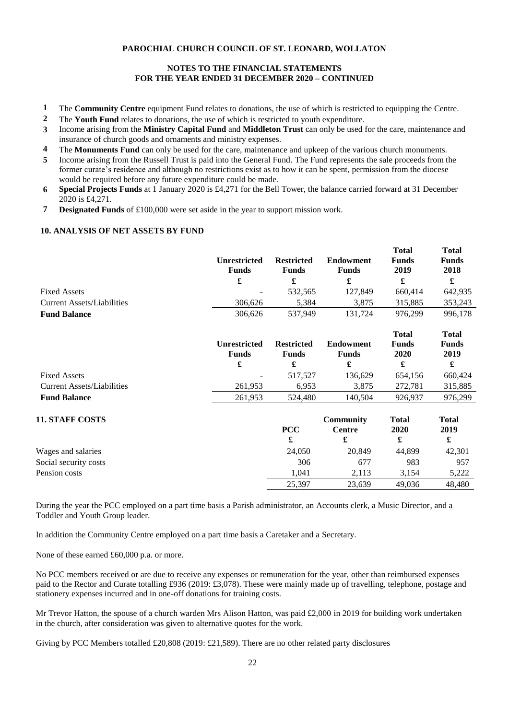# **NOTES TO THE FINANCIAL STATEMENTS FOR THE YEAR ENDED 31 DECEMBER 2020 – CONTINUED**

- **1** The **Community Centre** equipment Fund relates to donations, the use of which is restricted to equipping the Centre.
- **2** The **Youth Fund** relates to donations, the use of which is restricted to youth expenditure.
- **3** Income arising from the **Ministry Capital Fund** and **Middleton Trust** can only be used for the care, maintenance and insurance of church goods and ornaments and ministry expenses.
- **4** The **Monuments Fund** can only be used for the care, maintenance and upkeep of the various church monuments.
- **5** Income arising from the Russell Trust is paid into the General Fund. The Fund represents the sale proceeds from the former curate's residence and although no restrictions exist as to how it can be spent, permission from the diocese would be required before any future expenditure could be made.
- **6 Special Projects Funds** at 1 January 2020 is £4,271 for the Bell Tower, the balance carried forward at 31 December 2020 is £4,271.
- **7 Designated Funds** of £100,000 were set aside in the year to support mission work.

# **10. ANALYSIS OF NET ASSETS BY FUND**

| Unrestricted<br><b>Funds</b> | <b>Restricted</b><br>Funds | <b>Endowment</b><br>Funds | <b>Total</b><br><b>Funds</b><br>2019 | <b>Total</b><br><b>Funds</b><br>2018 |
|------------------------------|----------------------------|---------------------------|--------------------------------------|--------------------------------------|
| £                            |                            |                           | £                                    |                                      |
| $\overline{\phantom{a}}$     | 532.565                    | 127,849                   | 660.414                              | 642,935                              |
| 306.626                      | 5.384                      | 3.875                     | 315.885                              | 353,243                              |
| 306.626                      | 537.949                    | 131.724                   | 976.299                              | 996.178                              |
|                              |                            |                           |                                      |                                      |

|                                   | Unrestricted<br><b>Funds</b> | <b>Restricted</b><br><b>Funds</b> | Endowment<br><b>Funds</b> | <b>Total</b><br><b>Funds</b><br>2020 | <b>Total</b><br><b>Funds</b><br>2019 |
|-----------------------------------|------------------------------|-----------------------------------|---------------------------|--------------------------------------|--------------------------------------|
|                                   | £                            |                                   |                           |                                      |                                      |
| <b>Fixed Assets</b>               | $\overline{\phantom{a}}$     | 517.527                           | 136.629                   | 654.156                              | 660.424                              |
| <b>Current Assets/Liabilities</b> | 261.953                      | 6.953                             | 3.875                     | 272.781                              | 315,885                              |
| <b>Fund Balance</b>               | 261,953                      | 524,480                           | 140.504                   | 926.937                              | 976.299                              |

# **11. STAFF COSTS**

|                       | <b>PCC</b> | Centre | 2020   | 2019   |
|-----------------------|------------|--------|--------|--------|
|                       | £          |        |        | d.     |
| Wages and salaries    | 24,050     | 20,849 | 44.899 | 42,301 |
| Social security costs | 306        | 677    | 983    | 957    |
| Pension costs         | 1.041      | 2.113  | 3.154  | 5.222  |
|                       | 25,397     | 23,639 | 49.036 | 48.480 |

**PCC**

**Community** 

**Total 2020**

**Total 2019**

During the year the PCC employed on a part time basis a Parish administrator, an Accounts clerk, a Music Director, and a Toddler and Youth Group leader.

In addition the Community Centre employed on a part time basis a Caretaker and a Secretary.

None of these earned £60,000 p.a. or more.

No PCC members received or are due to receive any expenses or remuneration for the year, other than reimbursed expenses paid to the Rector and Curate totalling £936 (2019: £3,078). These were mainly made up of travelling, telephone, postage and stationery expenses incurred and in one-off donations for training costs.

Mr Trevor Hatton, the spouse of a church warden Mrs Alison Hatton, was paid £2,000 in 2019 for building work undertaken in the church, after consideration was given to alternative quotes for the work.

Giving by PCC Members totalled £20,808 (2019: £21,589). There are no other related party disclosures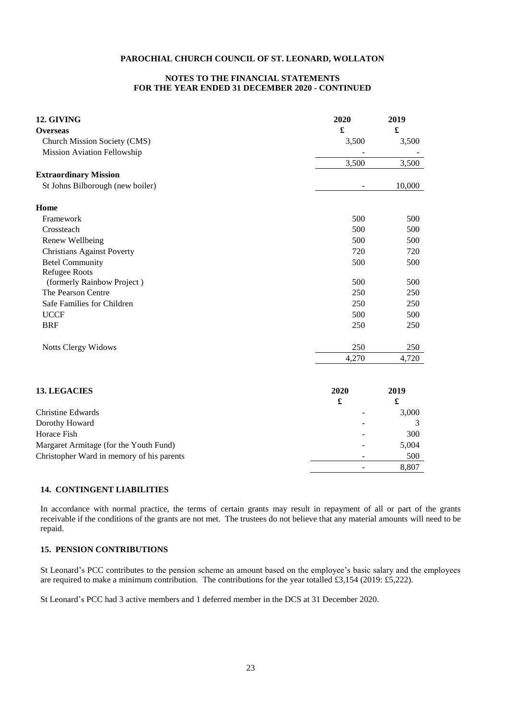### **NOTES TO THE FINANCIAL STATEMENTS FOR THE YEAR ENDED 31 DECEMBER 2020 - CONTINUED**

| Church Mission Society (CMS)<br>3,500<br>3,500<br>Mission Aviation Fellowship<br>3,500<br>3,500<br>St Johns Bilborough (new boiler)<br>10,000<br>500<br>500<br>Framework<br>500<br>500<br>Crossteach<br>Renew Wellbeing<br>500<br>500<br><b>Christians Against Poverty</b><br>720<br>720<br><b>Betel Community</b><br>500<br>500<br><b>Refugee Roots</b><br>(formerly Rainbow Project)<br>500<br>500<br>The Pearson Centre<br>250<br>250<br>Safe Families for Children<br>250<br>250<br><b>UCCF</b><br>500<br>500<br><b>BRF</b><br>250<br>250<br>250<br>250<br><b>Notts Clergy Widows</b><br>4,270<br>4,720<br><b>13. LEGACIES</b><br>2020<br>2019<br>£<br>£<br>Christine Edwards<br>3,000<br>Dorothy Howard<br>3<br>Horace Fish<br>300<br>Margaret Armitage (for the Youth Fund)<br>5,004<br>Christopher Ward in memory of his parents<br>500<br>8,807 | 12. GIVING                   | 2020 | 2019                 |
|---------------------------------------------------------------------------------------------------------------------------------------------------------------------------------------------------------------------------------------------------------------------------------------------------------------------------------------------------------------------------------------------------------------------------------------------------------------------------------------------------------------------------------------------------------------------------------------------------------------------------------------------------------------------------------------------------------------------------------------------------------------------------------------------------------------------------------------------------------|------------------------------|------|----------------------|
|                                                                                                                                                                                                                                                                                                                                                                                                                                                                                                                                                                                                                                                                                                                                                                                                                                                         | <b>Overseas</b>              | £    | $\pmb{\mathfrak{L}}$ |
|                                                                                                                                                                                                                                                                                                                                                                                                                                                                                                                                                                                                                                                                                                                                                                                                                                                         |                              |      |                      |
|                                                                                                                                                                                                                                                                                                                                                                                                                                                                                                                                                                                                                                                                                                                                                                                                                                                         |                              |      |                      |
|                                                                                                                                                                                                                                                                                                                                                                                                                                                                                                                                                                                                                                                                                                                                                                                                                                                         |                              |      |                      |
|                                                                                                                                                                                                                                                                                                                                                                                                                                                                                                                                                                                                                                                                                                                                                                                                                                                         | <b>Extraordinary Mission</b> |      |                      |
|                                                                                                                                                                                                                                                                                                                                                                                                                                                                                                                                                                                                                                                                                                                                                                                                                                                         |                              |      |                      |
|                                                                                                                                                                                                                                                                                                                                                                                                                                                                                                                                                                                                                                                                                                                                                                                                                                                         | Home                         |      |                      |
|                                                                                                                                                                                                                                                                                                                                                                                                                                                                                                                                                                                                                                                                                                                                                                                                                                                         |                              |      |                      |
|                                                                                                                                                                                                                                                                                                                                                                                                                                                                                                                                                                                                                                                                                                                                                                                                                                                         |                              |      |                      |
|                                                                                                                                                                                                                                                                                                                                                                                                                                                                                                                                                                                                                                                                                                                                                                                                                                                         |                              |      |                      |
|                                                                                                                                                                                                                                                                                                                                                                                                                                                                                                                                                                                                                                                                                                                                                                                                                                                         |                              |      |                      |
|                                                                                                                                                                                                                                                                                                                                                                                                                                                                                                                                                                                                                                                                                                                                                                                                                                                         |                              |      |                      |
|                                                                                                                                                                                                                                                                                                                                                                                                                                                                                                                                                                                                                                                                                                                                                                                                                                                         |                              |      |                      |
|                                                                                                                                                                                                                                                                                                                                                                                                                                                                                                                                                                                                                                                                                                                                                                                                                                                         |                              |      |                      |
|                                                                                                                                                                                                                                                                                                                                                                                                                                                                                                                                                                                                                                                                                                                                                                                                                                                         |                              |      |                      |
|                                                                                                                                                                                                                                                                                                                                                                                                                                                                                                                                                                                                                                                                                                                                                                                                                                                         |                              |      |                      |
|                                                                                                                                                                                                                                                                                                                                                                                                                                                                                                                                                                                                                                                                                                                                                                                                                                                         |                              |      |                      |
|                                                                                                                                                                                                                                                                                                                                                                                                                                                                                                                                                                                                                                                                                                                                                                                                                                                         |                              |      |                      |
|                                                                                                                                                                                                                                                                                                                                                                                                                                                                                                                                                                                                                                                                                                                                                                                                                                                         |                              |      |                      |
|                                                                                                                                                                                                                                                                                                                                                                                                                                                                                                                                                                                                                                                                                                                                                                                                                                                         |                              |      |                      |
|                                                                                                                                                                                                                                                                                                                                                                                                                                                                                                                                                                                                                                                                                                                                                                                                                                                         |                              |      |                      |
|                                                                                                                                                                                                                                                                                                                                                                                                                                                                                                                                                                                                                                                                                                                                                                                                                                                         |                              |      |                      |
|                                                                                                                                                                                                                                                                                                                                                                                                                                                                                                                                                                                                                                                                                                                                                                                                                                                         |                              |      |                      |
|                                                                                                                                                                                                                                                                                                                                                                                                                                                                                                                                                                                                                                                                                                                                                                                                                                                         |                              |      |                      |
|                                                                                                                                                                                                                                                                                                                                                                                                                                                                                                                                                                                                                                                                                                                                                                                                                                                         |                              |      |                      |
|                                                                                                                                                                                                                                                                                                                                                                                                                                                                                                                                                                                                                                                                                                                                                                                                                                                         |                              |      |                      |
|                                                                                                                                                                                                                                                                                                                                                                                                                                                                                                                                                                                                                                                                                                                                                                                                                                                         |                              |      |                      |
|                                                                                                                                                                                                                                                                                                                                                                                                                                                                                                                                                                                                                                                                                                                                                                                                                                                         |                              |      |                      |

## **14. CONTINGENT LIABILITIES**

In accordance with normal practice, the terms of certain grants may result in repayment of all or part of the grants receivable if the conditions of the grants are not met. The trustees do not believe that any material amounts will need to be repaid.

# **15. PENSION CONTRIBUTIONS**

St Leonard's PCC contributes to the pension scheme an amount based on the employee's basic salary and the employees are required to make a minimum contribution. The contributions for the year totalled £3,154 (2019: £5,222).

St Leonard's PCC had 3 active members and 1 deferred member in the DCS at 31 December 2020.